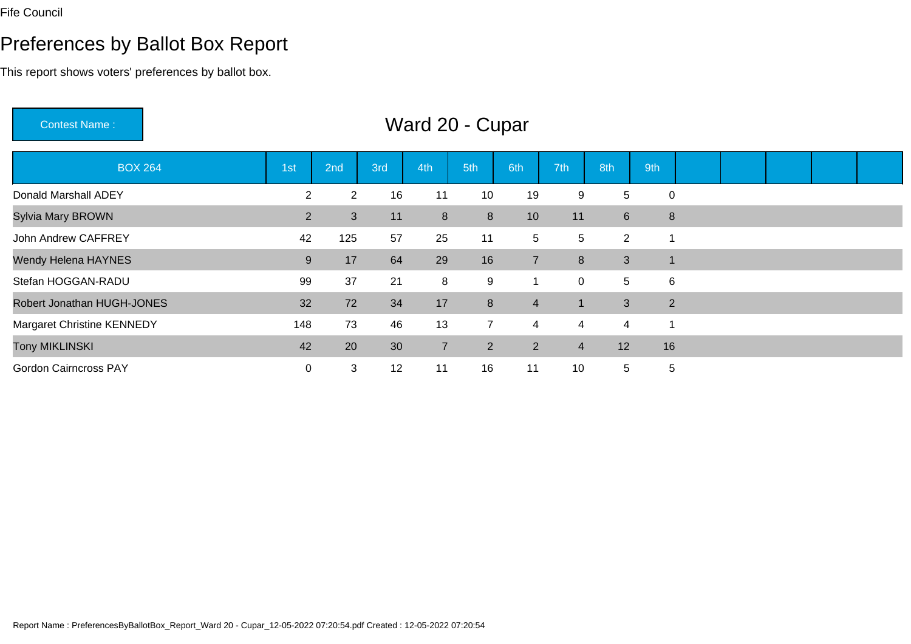### Preferences by Ballot Box Report

This report shows voters' preferences by ballot box.

Contest Name : Ward 20 - CuparBOX 264 1st 2nd 3rd 4th 5th 6th 7th 8th 9th Donald Marshall ADEY <sup>2</sup> <sup>2</sup> <sup>16</sup> <sup>11</sup> <sup>10</sup> <sup>19</sup> <sup>9</sup> <sup>5</sup> <sup>0</sup> Sylvia Mary BROWNN 2 3 11 8 8 10 11 6 8 John Andrew CAFFREY125 57 25 11 5 5 2 1 Wendy Helena HAYNES <sup>9</sup> <sup>17</sup> <sup>64</sup> <sup>29</sup> <sup>16</sup> <sup>7</sup> <sup>8</sup> <sup>3</sup> <sup>1</sup> Stefan HOGGAN-RADUU 39 37 21 8 9 1 0 5 6 Robert Jonathan HUGH-JONESS 32 72 34 17 8 4 1 3 2 Margaret Christine KENNEDY148 73 46 13 7 4 4 4 1 Tony MIKLINSKI $\blacksquare$  <sup>20</sup> <sup>30</sup> <sup>7</sup> <sup>2</sup> <sup>2</sup> <sup>4</sup> <sup>12</sup> <sup>16</sup> Gordon Cairncross PAY<sup>0</sup> <sup>3</sup> <sup>12</sup> <sup>11</sup> <sup>16</sup> <sup>11</sup> <sup>10</sup> <sup>5</sup> <sup>5</sup>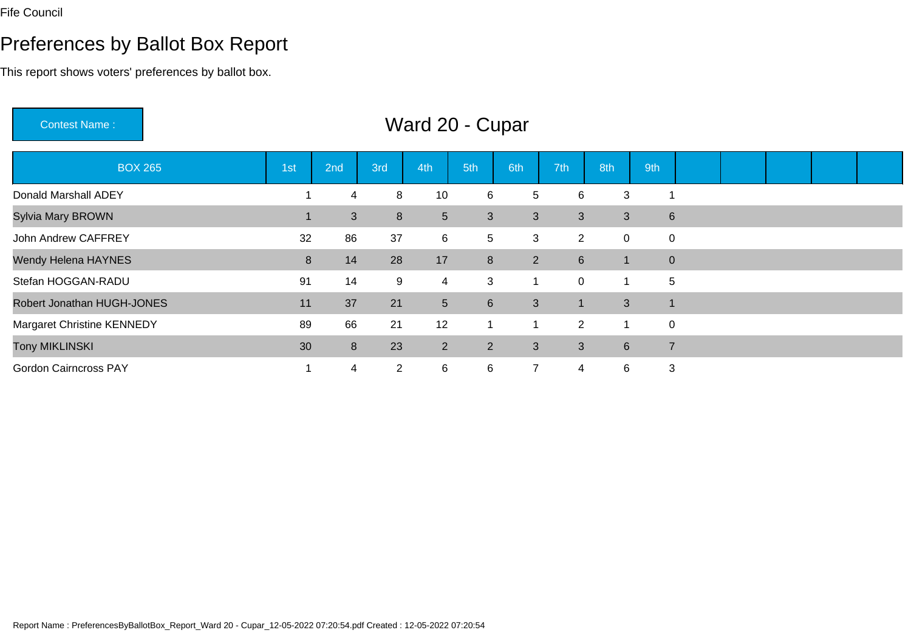# Preferences by Ballot Box Report

This report shows voters' preferences by ballot box.

Contest Name :

# Ward 20 - Cupar

| <b>BOX 265</b>                    | 1st | 2nd            | 3rd            | 4th            | 5th             | 6th            | 7th            | 8th            | 9th            |                |  |  |
|-----------------------------------|-----|----------------|----------------|----------------|-----------------|----------------|----------------|----------------|----------------|----------------|--|--|
| Donald Marshall ADEY              |     | 4              | 8              | 10             | 6               | 5              | 6              | 3              |                |                |  |  |
| <b>Sylvia Mary BROWN</b>          |     | 3 <sup>2</sup> | 8              | $\overline{5}$ | $\mathbf{3}$    | 3              | $\mathbf{3}$   | 3              |                | $6\phantom{1}$ |  |  |
| John Andrew CAFFREY               | 32  | 86             | 37             | 6              | $5\phantom{.0}$ | 3              | $\overline{2}$ | $\mathbf 0$    | $\mathbf 0$    |                |  |  |
| <b>Wendy Helena HAYNES</b>        | 8   | 14             | 28             | 17             | 8               | $\overline{2}$ | 6              | -1             |                | $\overline{0}$ |  |  |
| Stefan HOGGAN-RADU                | 91  | 14             | 9              | $\overline{4}$ | 3               |                | $\overline{0}$ | 1              | 5              |                |  |  |
| Robert Jonathan HUGH-JONES        | 11  | 37             | 21             | 5 <sup>5</sup> | $6\phantom{1}$  | 3              | -1             | 3              |                |                |  |  |
| <b>Margaret Christine KENNEDY</b> | 89  | 66             | 21             | 12             | -1              |                | $\overline{2}$ | 1              | $\overline{0}$ |                |  |  |
| <b>Tony MIKLINSKI</b>             | 30  | 8              | 23             | 2              | $2^{\circ}$     | 3              | 3              | $6\phantom{1}$ | $\overline{7}$ |                |  |  |
| <b>Gordon Cairncross PAY</b>      |     | 4              | $\overline{2}$ | 6              | 6               | $\overline{7}$ | 4              | 6              | 3              |                |  |  |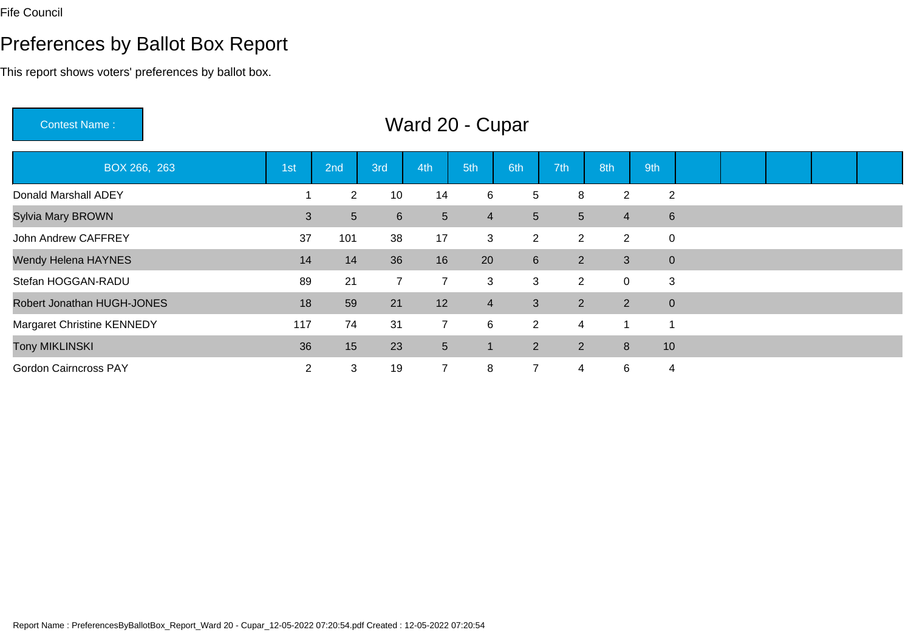### Preferences by Ballot Box Report

This report shows voters' preferences by ballot box.

Contest Name : Ward 20 - CuparBOX 266, 263 1st 2nd 3rd 4th 5th 6th 7th 8th 9th Donald Marshall ADEY1 2 10 14 6 5 8 2 2 Sylvia Mary BROWNN 3 5 6 5 4 5 5 4 6 John Andrew CAFFREY1 1 38 1 37 1 3 2 2 2 0 Wendy Helena HAYNESS 14 14 36 16 20 6 2 3 0 Stefan HOGGAN-RADUU 3 3 3 2 0 3 Robert Jonathan HUGH-JONESS 18 59 21 12 4 3 2 2 0 Margaret Christine KENNEDYY 117 74 31 7 6 2 4 1 1 Tony MIKLINSKI 36 <sup>15</sup> <sup>23</sup> <sup>5</sup> <sup>1</sup> <sup>2</sup> <sup>2</sup> <sup>8</sup> <sup>10</sup> Gordon Cairncross PAYY 2 3 19 7 8 7 4 6 4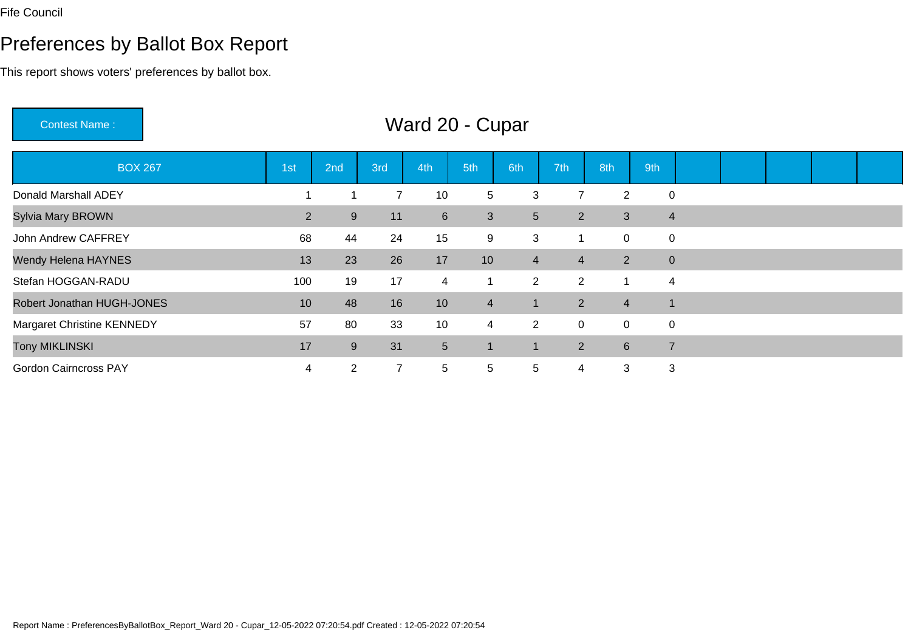Gordon Cairncross PAY

### Preferences by Ballot Box Report

This report shows voters' preferences by ballot box.

Contest Name : Ward 20 - CuparBOX 267 1st 2nd 3rd 4th 5th 6th 7th 8th 9th Donald Marshall ADEY1 1 7 10 5 3 7 2 0 Sylvia Mary BROWNN 2 9 11 6 3 5 2 3 4 John Andrew CAFFREY <sup>68</sup> <sup>44</sup> <sup>24</sup> <sup>15</sup> <sup>9</sup> <sup>3</sup> <sup>1</sup> <sup>0</sup> <sup>0</sup> Wendy Helena HAYNES5 13 23 26 17 10 4 4 2 0 Stefan HOGGAN-RADUU 100 19 17 4 1 2 2 1 4 Robert Jonathan HUGH-JONESS 10 48 16 10 4 1 2 4 1 Margaret Christine KENNEDY <sup>57</sup> <sup>80</sup> <sup>33</sup> <sup>10</sup> <sup>4</sup> <sup>2</sup> <sup>0</sup> <sup>0</sup> <sup>0</sup> Tony MIKLINSKI17 and 2012 and 2014 and 2017 and 2017 and 2017 and 2017 and 2017 and 2017 and 2017 and 2017 and 2017 and 2017 <sup>9</sup> <sup>31</sup> <sup>5</sup> <sup>1</sup> <sup>1</sup> <sup>2</sup> <sup>6</sup> <sup>7</sup>

Y 1 4 2 7 5 5 5 4 3 3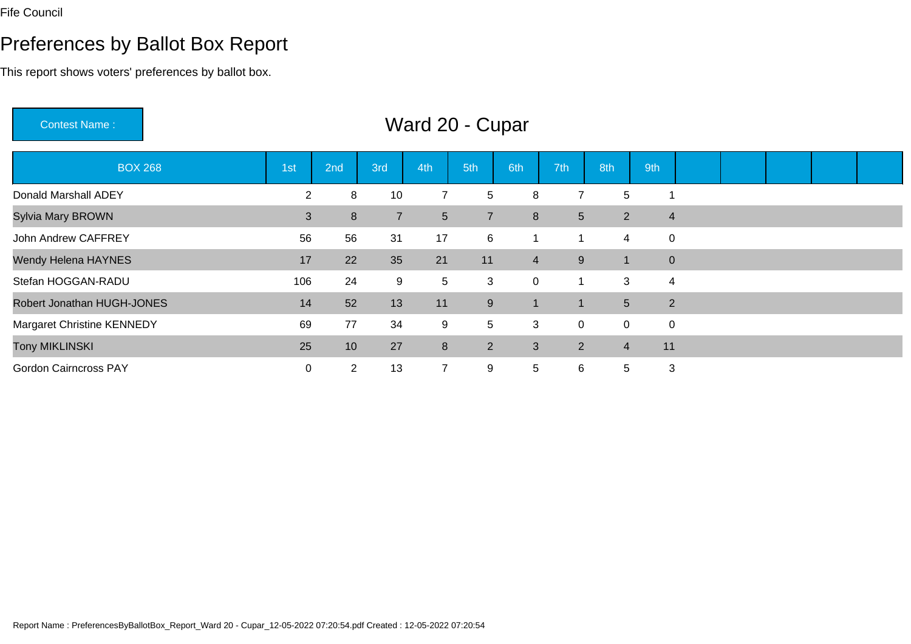### Preferences by Ballot Box Report

This report shows voters' preferences by ballot box.

Contest Name : Ward 20 - CuparBOX 268 1st 2nd 3rd 4th 5th 6th 7th 8th 9th Donald Marshall ADEY1 1 1 2 8 10 7 5 8 7 5 1 Sylvia Mary BROWNN 3 8 7 5 7 8 5 2 4 John Andrew CAFFREY <sup>56</sup> <sup>56</sup> <sup>31</sup> <sup>17</sup> <sup>6</sup> <sup>1</sup> <sup>1</sup> <sup>4</sup> <sup>0</sup> Wendy Helena HAYNESS 17 22 35 21 11 4 9 1 0 Stefan HOGGAN-RADUU
106 24 9 5 3 0 1 3 4 Robert Jonathan HUGH-JONESS 14 52 13 11 9 1 1 5 2 Margaret Christine KENNEDYY 5 69 77 34 9 5 3 0 0 0 0 Tony MIKLINSKI<u>1. In the second contract of the second contract of the second contract of the second contract of the second con</u> <sup>10</sup> <sup>27</sup> <sup>8</sup> <sup>2</sup> <sup>3</sup> <sup>2</sup> <sup>4</sup> <sup>11</sup> Gordon Cairncross PAY

Y 2 13 7 9 5 6 5 3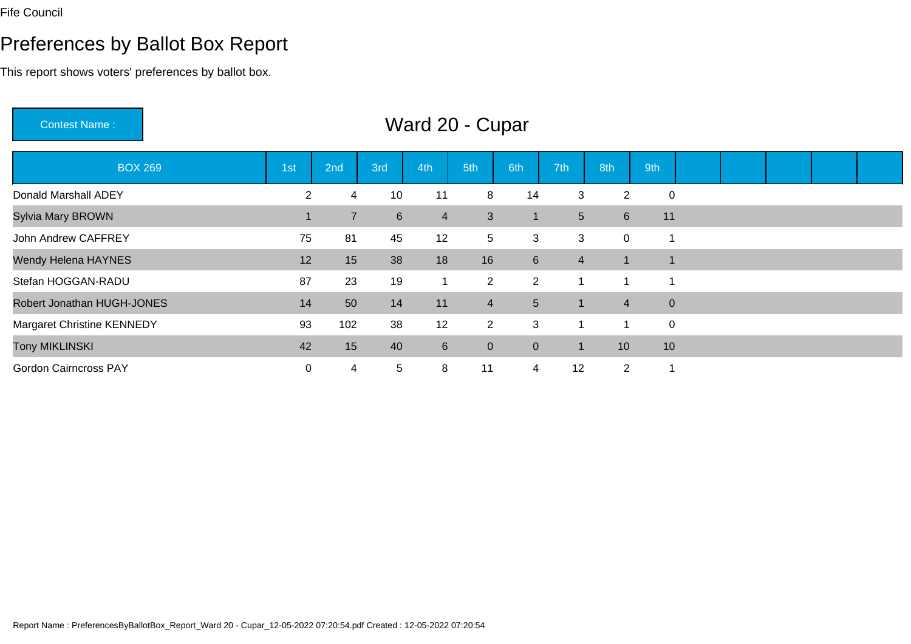# Preferences by Ballot Box Report

This report shows voters' preferences by ballot box.

Contest Name :

# Ward 20 - Cupar

| <b>BOX 269</b>                    | 1st       | 2nd             | 3rd            | 4th            | 5th             | 6th            | 7th            | 8th            | 9th              |  |  |  |
|-----------------------------------|-----------|-----------------|----------------|----------------|-----------------|----------------|----------------|----------------|------------------|--|--|--|
| Donald Marshall ADEY              | 2         | 4               | 10             | 11             | 8               | 14             | 3              | 2              | $\mathbf 0$      |  |  |  |
| Sylvia Mary BROWN                 |           | $\overline{7}$  | $6\phantom{1}$ | $\overline{4}$ | $\mathbf{3}$    | 1              | 5 <sup>5</sup> | $6^{\circ}$    | 11               |  |  |  |
| John Andrew CAFFREY               | 75        | 81              | 45             | 12             | $5\overline{)}$ | 3              | 3              | 0              |                  |  |  |  |
| Wendy Helena HAYNES               | 12        | 15              | 38             | 18             | 16              | 6              | $\overline{4}$ | $\mathbf 1$    |                  |  |  |  |
| Stefan HOGGAN-RADU                | 87        | 23              | 19             | 1              | $\overline{2}$  | $\overline{2}$ | 1              |                |                  |  |  |  |
| Robert Jonathan HUGH-JONES        | 14        | 50              | 14             | 11             | $\overline{4}$  | $5\phantom{.}$ |                | $\overline{4}$ | $\mathbf 0$      |  |  |  |
| <b>Margaret Christine KENNEDY</b> | 93        | 102             | 38             | 12             | $\overline{2}$  | 3              | 1              |                | $\boldsymbol{0}$ |  |  |  |
| <b>Tony MIKLINSKI</b>             | 42        | 15 <sub>1</sub> | 40             | $6\phantom{1}$ | $\overline{0}$  | $\mathbf 0$    | -1             | 10             | 10               |  |  |  |
| <b>Gordon Cairncross PAY</b>      | $\pmb{0}$ | 4               | 5              | 8              | 11              | 4              | 12             | $\overline{2}$ |                  |  |  |  |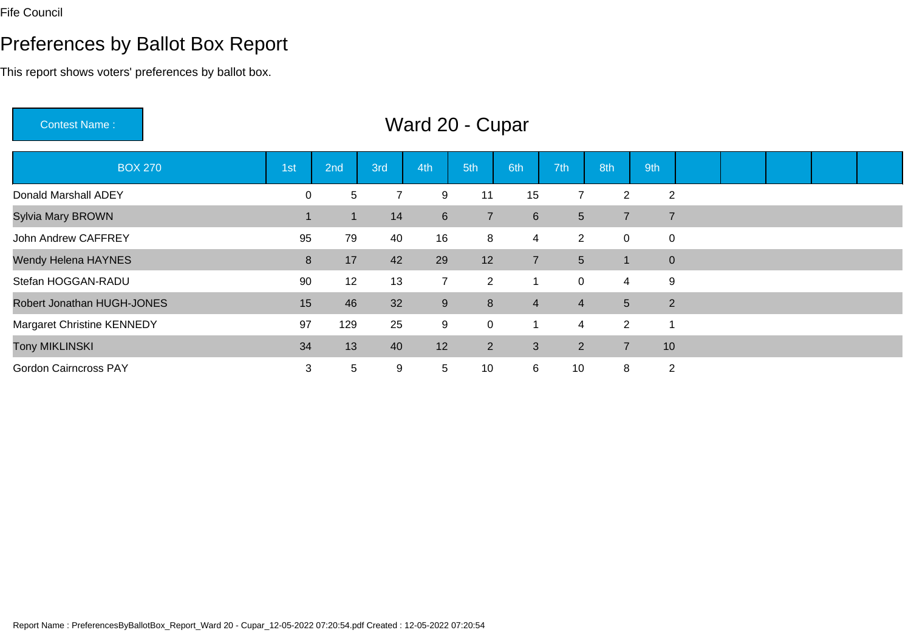### Preferences by Ballot Box Report

This report shows voters' preferences by ballot box.

Contest Name : Ward 20 - CuparBOX 270 1st 2nd 3rd 4th 5th 6th 7th 8th 9th Donald Marshall ADEY <sup>0</sup> <sup>5</sup> <sup>7</sup> <sup>9</sup> <sup>11</sup> <sup>15</sup> <sup>7</sup> <sup>2</sup> <sup>2</sup> Sylvia Mary BROWN <sup>1</sup> <sup>1</sup> <sup>14</sup> <sup>6</sup> <sup>7</sup> <sup>6</sup> <sup>5</sup> <sup>7</sup> <sup>7</sup> John Andrew CAFFREY <sup>95</sup> <sup>79</sup> <sup>40</sup> <sup>16</sup> <sup>8</sup> <sup>4</sup> <sup>2</sup> <sup>0</sup> <sup>0</sup> Wendy Helena HAYNES8 17 42 29 12 7 5 1 0 Stefan HOGGAN-RADUU 3 90 12 13 7 2 1 0 4 9 Robert Jonathan HUGH-JONESS 15 46 32 9 8 4 4 5 2 Margaret Christine KENNEDY <sup>97</sup> <sup>129</sup> <sup>25</sup> <sup>9</sup> <sup>0</sup> <sup>1</sup> <sup>4</sup> <sup>2</sup> <sup>1</sup> Tony MIKLINSKI 34 <sup>13</sup> <sup>40</sup> <sup>12</sup> <sup>2</sup> <sup>3</sup> <sup>2</sup> <sup>7</sup> <sup>10</sup> Gordon Cairncross PAY1 5 9 5 10 6 10 8 2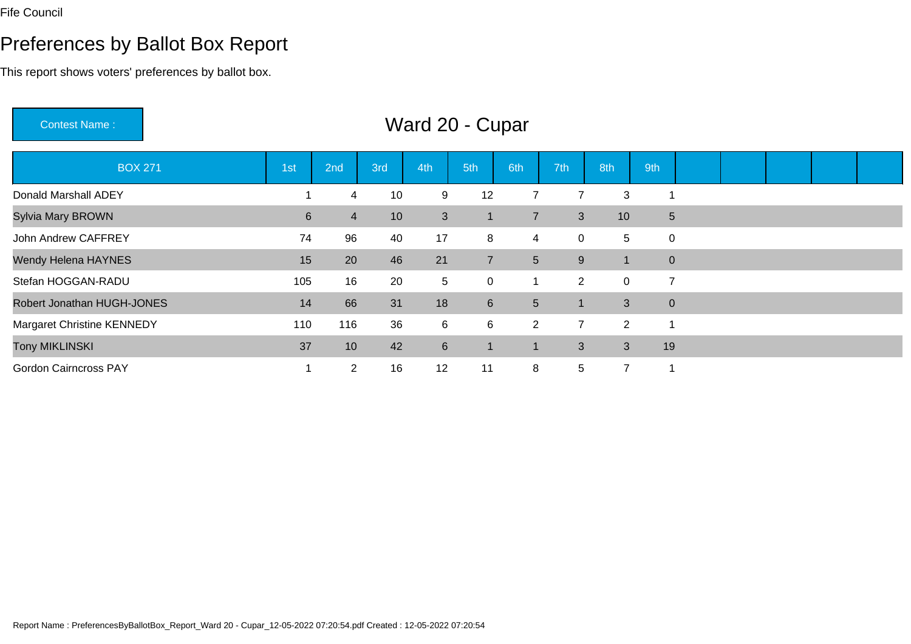### Preferences by Ballot Box Report

This report shows voters' preferences by ballot box.

Robert Jonathan HUGH-JONES

Margaret Christine KENNEDY

Tony MIKLINSKI

Gordon Cairncross PAY

Contest Name : Ward 20 - CuparBOX 271 1st 2nd 3rd 4th 5th 6th 7th 8th 9th Donald Marshall ADEY1 4 10 9 12 7 7 3 1 Sylvia Mary BROWNN 10 3 1 7 3 10 5 John Andrew CAFFREY1 74 96 40 17 8 4 0 5 0 Wendy Helena HAYNES5 20 46 21 7 5 9 1 0 Stefan HOGGAN-RADUU
105 16 20 5 0 1 2 0 7

S 1 14 66 31 18 6 5 1 3 0

<sup>10</sup> <sup>42</sup> <sup>6</sup> <sup>1</sup> <sup>1</sup> <sup>3</sup> <sup>3</sup> <sup>19</sup>

110 116 36 6 6 2 7 2 1

1 2 16 12 11 8 5 7 1

 $\blacksquare$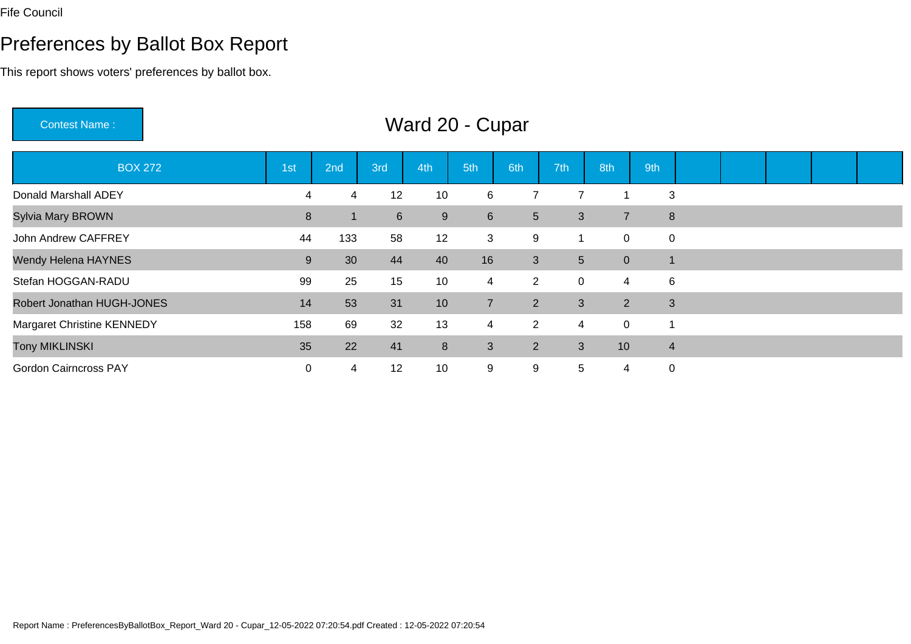### Preferences by Ballot Box Report

This report shows voters' preferences by ballot box.

Contest Name : Ward 20 - CuparBOX 272 1st 2nd 3rd 4th 5th 6th 7th 8th 9th Donald Marshall ADEYY 1 4 4 12 10 6 7 7 1 3 Sylvia Mary BROWNN 2006 1 2006 1 2006 1 2006 1 2007 1 2007 1 2008 1 2008 1 2008 1 2008 1 2008 1 2008 1 2008 1 2008 1 2008 1 200<br>Note 10:00:00 1 2008 1 2008 1 2008 1 2008 1 2008 1 2008 1 2008 1 2008 1 2008 1 2008 1 2008 1 2008 1 2008 1 200 John Andrew CAFFREY1 133 58 12 3 9 1 0 0 0 m Wendy Helena HAYNESS 30 44 40 16 3 5 0 1 Stefan HOGGAN-RADUU 39 25 15 10 4 2 0 4 6 Robert Jonathan HUGH-JONESS 14 53 31 10 7 2 3 2 3 Margaret Christine KENNEDY <sup>158</sup> <sup>69</sup> <sup>32</sup> <sup>13</sup> <sup>4</sup> <sup>2</sup> <sup>4</sup> <sup>0</sup> <sup>1</sup> Tony MIKLINSKI $\blacksquare$  <sup>22</sup> <sup>41</sup> <sup>8</sup> <sup>3</sup> <sup>2</sup> <sup>3</sup> <sup>10</sup> <sup>4</sup> Gordon Cairncross PAY0 4 12 10 9 9 5 4 0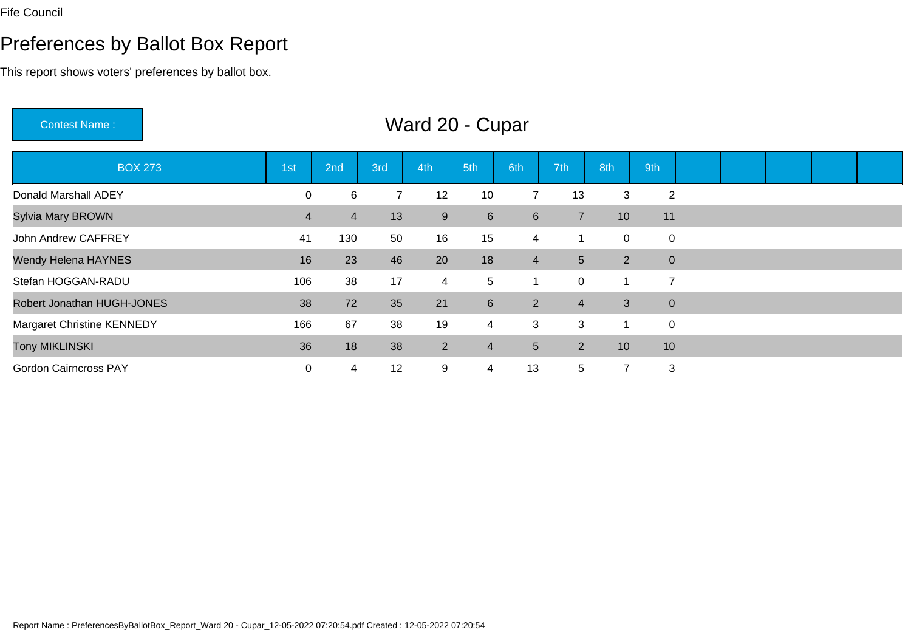### Preferences by Ballot Box Report

This report shows voters' preferences by ballot box.

Contest Name : Ward 20 - CuparBOX 273 1st 2nd 3rd 4th 5th 6th 7th 8th 9th Donald Marshall ADEY1 12 10 7 13 3 2 Sylvia Mary BROWNN 13 9 6 6 7 10 11 John Andrew CAFFREY <sup>41</sup> <sup>130</sup> <sup>50</sup> <sup>16</sup> <sup>15</sup> <sup>4</sup> <sup>1</sup> <sup>0</sup> <sup>0</sup> Wendy Helena HAYNESS 16 23 46 20 18 4 5 2 0 Stefan HOGGAN-RADUU 106 38 17 4 5 1 0 1 7 Robert Jonathan HUGH-JONESS 38 72 35 21 6 2 4 3 0 Margaret Christine KENNEDY166 67 38 19 4 3 3 1 0 Tony MIKLINSKI 36 <sup>18</sup> <sup>38</sup> <sup>2</sup> <sup>4</sup> <sup>5</sup> <sup>2</sup> <sup>10</sup> <sup>10</sup> Gordon Cairncross PAYY 2 0 4 12 9 4 13 5 7 3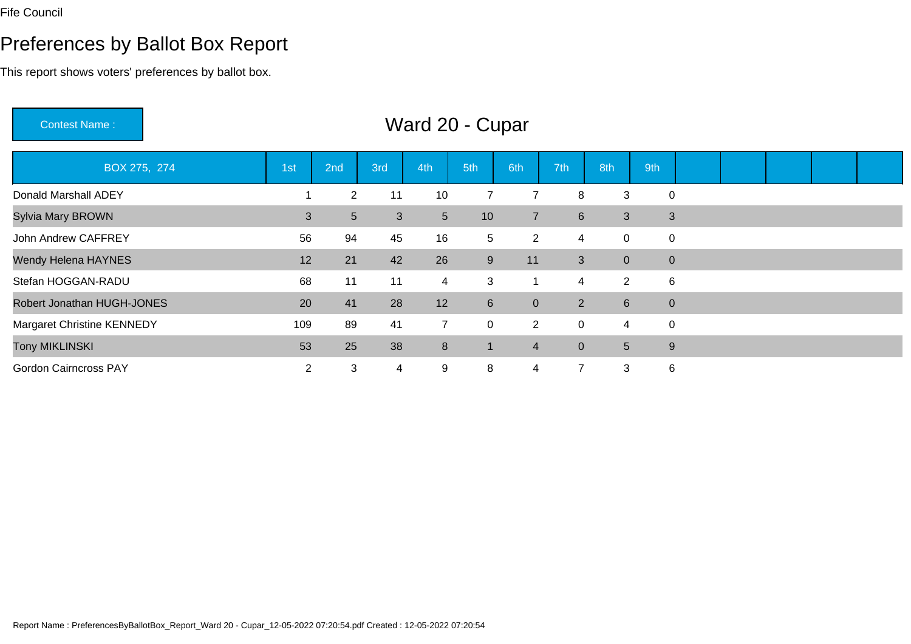### Preferences by Ballot Box Report

This report shows voters' preferences by ballot box.

Contest Name : Ward 20 - CuparBOX 275, 274 1st 2nd 3rd 4th 5th 6th 7th 8th 9th Donald Marshall ADEY1 2 11 10 7 7 8 3 0 Sylvia Mary BROWNN 3 3 5 3 5 10 7 6 3 3 John Andrew CAFFREY1 56 94 45 16 5 2 4 0 0 Wendy Helena HAYNES5 12 21 42 26 9 11 3 0 0 Stefan HOGGAN-RADUU 68 11 11 4 3 1 4 2 6 Robert Jonathan HUGH-JONES20 41 28 12 6 0 2 6 0 Margaret Christine KENNEDY109 89 41 7 0 2 0 4 0 Tony MIKLINSKI $\blacksquare$  <sup>25</sup> <sup>38</sup> <sup>8</sup> <sup>1</sup> <sup>4</sup> <sup>0</sup> <sup>5</sup> <sup>9</sup> Gordon Cairncross PAYY 2 3 4 9 8 4 7 3 6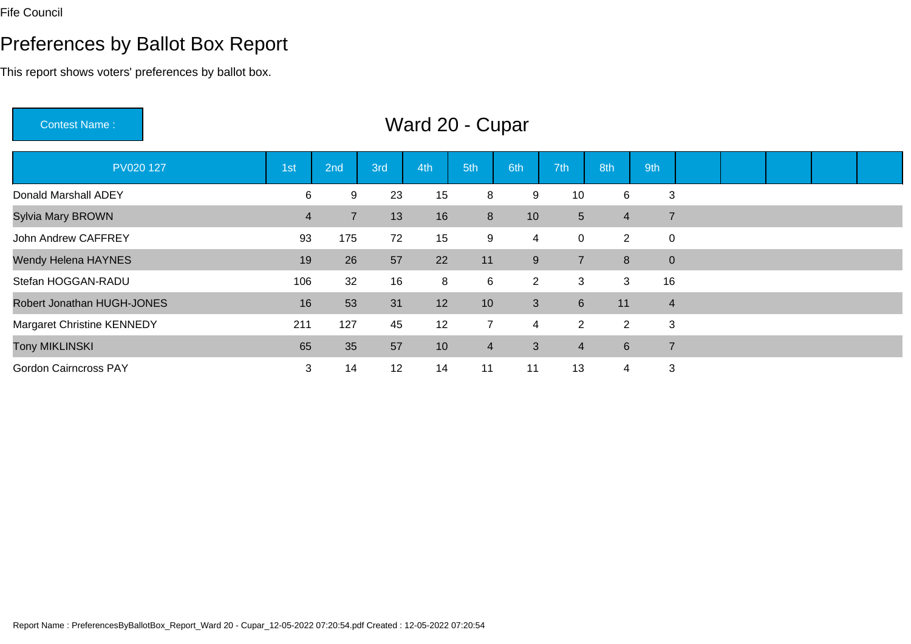### Preferences by Ballot Box Report

This report shows voters' preferences by ballot box.

Contest Name : Ward 20 - CuparPV020 127 1st 2nd 3rd 4th 5th 6th 7th 8th 9th Donald Marshall ADEY <sup>6</sup> <sup>9</sup> <sup>23</sup> <sup>15</sup> <sup>8</sup> <sup>9</sup> <sup>10</sup> <sup>6</sup> <sup>3</sup> Sylvia Mary BROWNN 13 16 8 10 5 4 7 John Andrew CAFFREY <sup>93</sup> <sup>175</sup> <sup>72</sup> <sup>15</sup> <sup>9</sup> <sup>4</sup> <sup>0</sup> <sup>2</sup> <sup>0</sup> Wendy Helena HAYNES5 5 3 3 3 3 4 5 5 5 5 5 7 2 3 4 5 5 7 5 7 5  $\sqrt{3}$  5 7  $\sqrt{3}$  5  $\sqrt{3}$  5  $\sqrt{3}$  5  $\sqrt{3}$  5  $\sqrt{3}$  5  $\sqrt{3}$  5  $\sqrt{3}$  5  $\sqrt{3}$  5  $\sqrt{3}$  5  $\sqrt{3}$  5  $\sqrt{3}$  5  $\sqrt{3}$  5  $\sqrt{3}$  5  $\sqrt{3}$  5  $\sqrt{3}$  5  $\sqrt{3}$  5  $\sqrt{3}$ Stefan HOGGAN-RADUU 106 32 16 8 6 2 3 3 16 Robert Jonathan HUGH-JONESS 16 53 31 12 10 3 6 11 4 Margaret Christine KENNEDY <sup>211</sup> <sup>127</sup> <sup>45</sup> <sup>12</sup> <sup>7</sup> <sup>4</sup> <sup>2</sup> <sup>2</sup> <sup>3</sup> Tony MIKLINSKI $\blacksquare$  <sup>35</sup> <sup>57</sup> <sup>10</sup> <sup>4</sup> <sup>3</sup> <sup>4</sup> <sup>6</sup> <sup>7</sup> Gordon Cairncross PAY<sup>3</sup> <sup>14</sup> <sup>12</sup> <sup>14</sup> <sup>11</sup> <sup>11</sup> <sup>13</sup> <sup>4</sup> <sup>3</sup>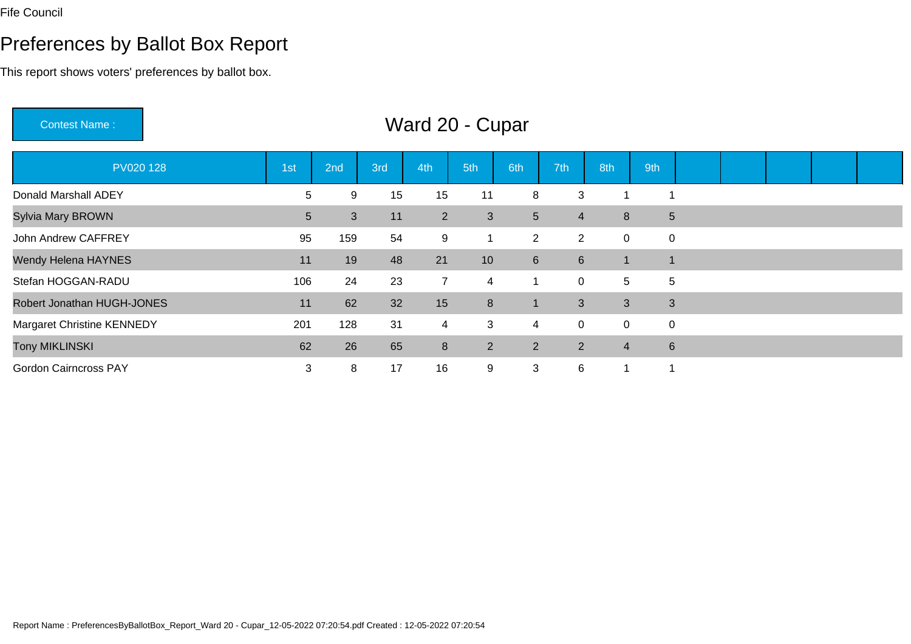### Preferences by Ballot Box Report

This report shows voters' preferences by ballot box.

Contest Name : Ward 20 - CuparPV020 128 1st 2nd 3rd 4th 5th 6th 7th 8th 9th Donald Marshall ADEYThe contract to the contract to the contract to the contract to the contract to the contract to the contract t<br>The contract to the contract to the contract of the contract of the contract of the contract of the contract t<br> Sylvia Mary BROWNN 5 5 3 11 2 3 5 4 8 5 John Andrew CAFFREY <sup>95</sup> <sup>159</sup> <sup>54</sup> <sup>9</sup> <sup>1</sup> <sup>2</sup> <sup>2</sup> <sup>0</sup> <sup>0</sup> Wendy Helena HAYNESS 11 19 48 21 10 6 6 1 1 Stefan HOGGAN-RADUU
106 24 23 7 4 1 0 5 5 Robert Jonathan HUGH-JONESS 11 62 32 15 8 1 3 3 3 Margaret Christine KENNEDY**201 128 31 4 3 4 0 0 0** Tony MIKLINSKI1 62 2 26 65 8 2 2 2 4 6 Gordon Cairncross PAY<sup>3</sup> <sup>8</sup> <sup>17</sup> <sup>16</sup> <sup>9</sup> <sup>3</sup> <sup>6</sup> <sup>1</sup> <sup>1</sup>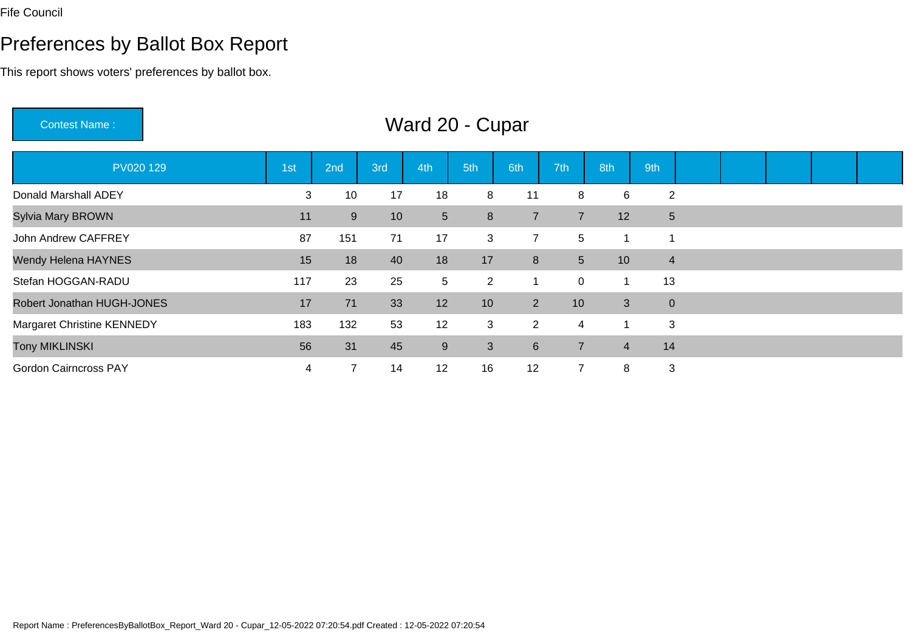### Preferences by Ballot Box Report

This report shows voters' preferences by ballot box.

Contest Name : Ward 20 - CuparPV020 129 1st 2nd 3rd 4th 5th 6th 7th 8th 9th Donald Marshall ADEY <sup>3</sup> <sup>10</sup> <sup>17</sup> <sup>18</sup> <sup>8</sup> <sup>11</sup> <sup>8</sup> <sup>6</sup> <sup>2</sup> Sylvia Mary BROWNN 11 9 10 5 8 7 7 12 5 John Andrew CAFFREY <sup>87</sup> <sup>151</sup> <sup>71</sup> <sup>17</sup> <sup>3</sup> <sup>7</sup> <sup>5</sup> <sup>1</sup> <sup>1</sup> Wendy Helena HAYNES5 18 15 18 40 18 17 8 5 10 4 Stefan HOGGAN-RADUU 117 23 25 5 2 1 0 1 13 Robert Jonathan HUGH-JONESS 17 71 33 12 10 2 10 3 0 Margaret Christine KENNEDY <sup>183</sup> <sup>132</sup> <sup>53</sup> <sup>12</sup> <sup>3</sup> <sup>2</sup> <sup>4</sup> <sup>1</sup> <sup>3</sup> Tony MIKLINSKI $\blacksquare$  <sup>31</sup> <sup>45</sup> <sup>9</sup> <sup>3</sup> <sup>6</sup> <sup>7</sup> <sup>4</sup> <sup>14</sup> Gordon Cairncross PAY<sup>4</sup> <sup>7</sup> <sup>14</sup> <sup>12</sup> <sup>16</sup> <sup>12</sup> <sup>7</sup> <sup>8</sup> <sup>3</sup>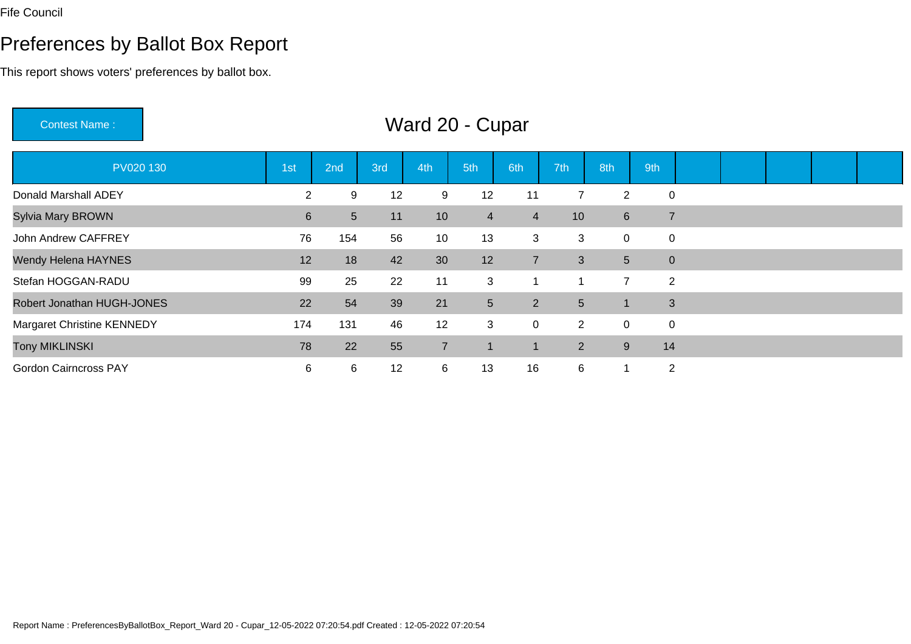### Preferences by Ballot Box Report

This report shows voters' preferences by ballot box.

Contest Name : Ward 20 - CuparPV020 130 1st 2nd 3rd 4th 5th 6th 7th 8th 9th Donald Marshall ADEY <sup>2</sup> <sup>9</sup> <sup>12</sup> <sup>9</sup> <sup>12</sup> <sup>11</sup> <sup>7</sup> <sup>2</sup> <sup>0</sup> Sylvia Mary BROWNN 10 10 4 4 10 6 7 John Andrew CAFFREY <sup>76</sup> <sup>154</sup> <sup>56</sup> <sup>10</sup> <sup>13</sup> <sup>3</sup> <sup>3</sup> <sup>0</sup> <sup>0</sup> Wendy Helena HAYNES5 12 18 42 30 12 7 3 5 0 Stefan HOGGAN-RADUU 3 1 1 7 2 Robert Jonathan HUGH-JONESS 22 54 39 21 5 2 5 1 3 Margaret Christine KENNEDY174 131 46 12 3 0 2 0 0 Tony MIKLINSKI 78 <sup>22</sup> <sup>55</sup> <sup>7</sup> <sup>1</sup> <sup>1</sup> <sup>2</sup> <sup>9</sup> <sup>14</sup> Gordon Cairncross PAY<sup>6</sup> <sup>6</sup> <sup>12</sup> <sup>6</sup> <sup>13</sup> <sup>16</sup> <sup>6</sup> <sup>1</sup> <sup>2</sup>